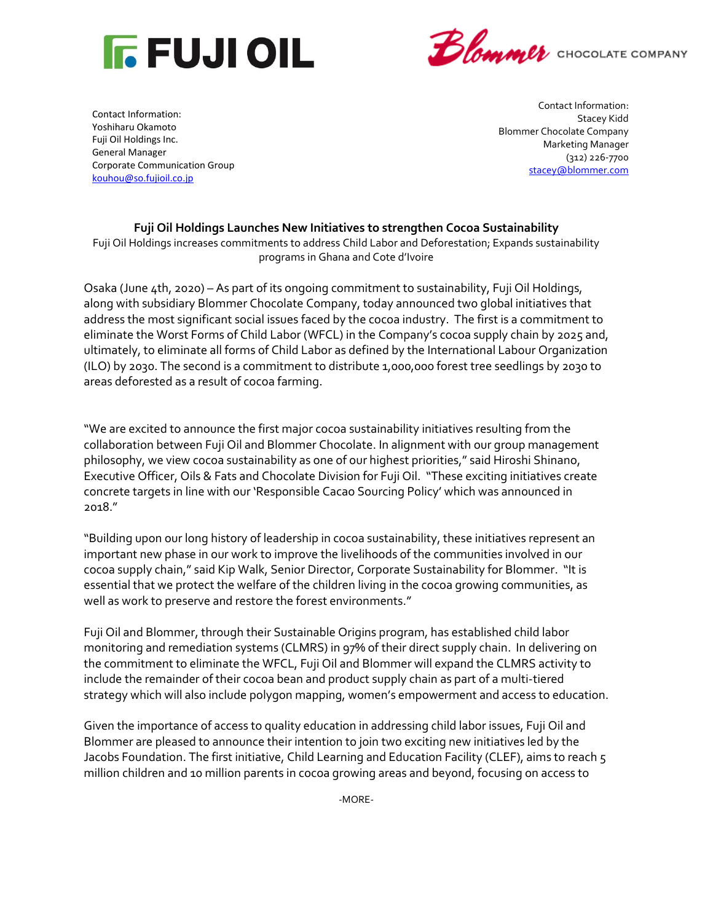



Contact Information: Yoshiharu Okamoto Fuji Oil Holdings Inc. General Manager Corporate Communication Group [kouhou@so.fujioil.co.jp](mailto:kouhou@so.fujioil.co.jp)

Contact Information: Stacey Kidd Blommer Chocolate Company Marketing Manager (312) 226-7700 [stacey@blommer.com](mailto:stacey@blommer.com)

## **Fuji Oil Holdings Launches New Initiatives to strengthen Cocoa Sustainability**

Fuji Oil Holdings increases commitments to address Child Labor and Deforestation; Expands sustainability programs in Ghana and Cote d'Ivoire

Osaka (June 4th, 2020) – As part of its ongoing commitment to sustainability, Fuji Oil Holdings, along with subsidiary Blommer Chocolate Company, today announced two global initiatives that address the most significant social issues faced by the cocoa industry. The first is a commitment to eliminate the Worst Forms of Child Labor (WFCL) in the Company's cocoa supply chain by 2025 and, ultimately, to eliminate all forms of Child Labor as defined by the International Labour Organization (ILO) by 2030. The second is a commitment to distribute 1,000,000 forest tree seedlings by 2030 to areas deforested as a result of cocoa farming.

"We are excited to announce the first major cocoa sustainability initiatives resulting from the collaboration between Fuji Oil and Blommer Chocolate. In alignment with our group management philosophy, we view cocoa sustainability as one of our highest priorities," said Hiroshi Shinano, Executive Officer, Oils & Fats and Chocolate Division for Fuji Oil. "These exciting initiatives create concrete targets in line with our 'Responsible Cacao Sourcing Policy' which was announced in 2018."

"Building upon our long history of leadership in cocoa sustainability, these initiatives represent an important new phase in our work to improve the livelihoods of the communities involved in our cocoa supply chain," said Kip Walk, Senior Director, Corporate Sustainability for Blommer. "It is essential that we protect the welfare of the children living in the cocoa growing communities, as well as work to preserve and restore the forest environments."

Fuji Oil and Blommer, through their Sustainable Origins program, has established child labor monitoring and remediation systems (CLMRS) in 97% of their direct supply chain. In delivering on the commitment to eliminate the WFCL, Fuji Oil and Blommer will expand the CLMRS activity to include the remainder of their cocoa bean and product supply chain as part of a multi-tiered strategy which will also include polygon mapping, women's empowerment and access to education.

Given the importance of access to quality education in addressing child labor issues, Fuji Oil and Blommer are pleased to announce their intention to join two exciting new initiatives led by the Jacobs Foundation. The first initiative, Child Learning and Education Facility (CLEF), aims to reach 5 million children and 10 million parents in cocoa growing areas and beyond, focusing on access to